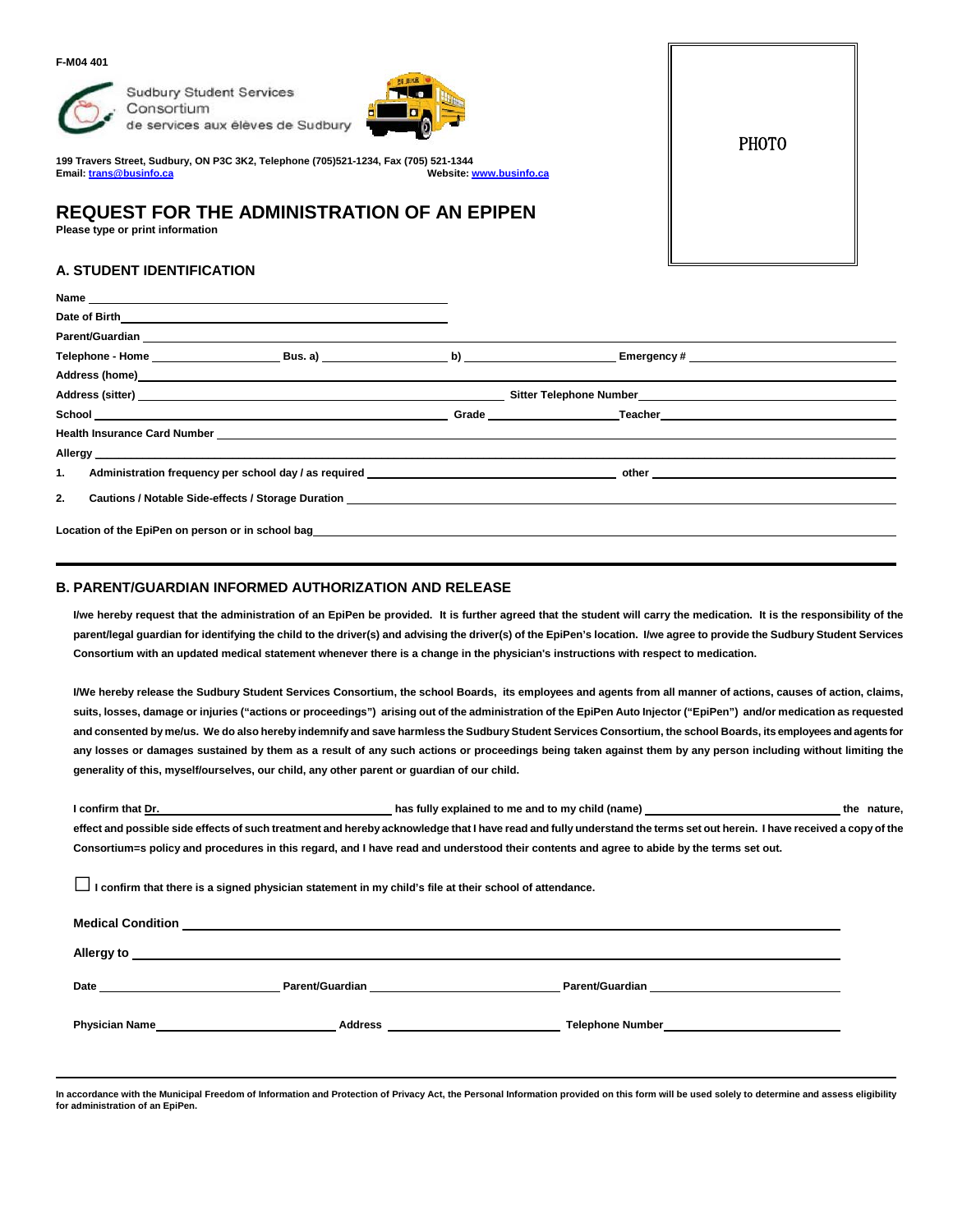#### **F-M04 401**



**Sudbury Student Services** Consortium de services aux élèves de Sudbury



**199 Travers Street, Sudbury, ON P3C 3K2, Telephone (705)521-1234, Fax (705) 521-1344 Email[: trans@businfo.ca](mailto:trans@businfo.ca) Website[: www.businfo.ca](http://www.businfo.ca/)**

## **REQUEST FOR THE ADMINISTRATION OF AN EPIPEN**

**Please type or print information**

### **A. STUDENT IDENTIFICATION**

| Address (home) example and the contract of the contract of the contract of the contract of the contract of the contract of the contract of the contract of the contract of the contract of the contract of the contract of the |  |                                                                                                                                                                                                                                |  |
|--------------------------------------------------------------------------------------------------------------------------------------------------------------------------------------------------------------------------------|--|--------------------------------------------------------------------------------------------------------------------------------------------------------------------------------------------------------------------------------|--|
|                                                                                                                                                                                                                                |  |                                                                                                                                                                                                                                |  |
|                                                                                                                                                                                                                                |  | <b>Grade Example 1 Contract Contract Teacher Contract Contract Contract Contract Contract Contract Contract Contract Contract Contract Contract Contract Contract Contract Contract Contract Contract Contract Contract Co</b> |  |
| Health Insurance Card Number Law and Contract the Contract of the Contract of the Contract of the Contract of the Contract of the Contract of the Contract of the Contract of the Contract of the Contract of the Contract of  |  |                                                                                                                                                                                                                                |  |
|                                                                                                                                                                                                                                |  |                                                                                                                                                                                                                                |  |
| 1.<br>Administration frequency per school day / as required                                                                                                                                                                    |  |                                                                                                                                                                                                                                |  |
| 2.<br>Cautions / Notable Side-effects / Storage Duration Cause of Annual State of Annual State of Annual State of An                                                                                                           |  |                                                                                                                                                                                                                                |  |
|                                                                                                                                                                                                                                |  |                                                                                                                                                                                                                                |  |
| Location of the EpiPen on person or in school bag <b>Example 2018</b> 2019 12:00 12:00 12:00 12:00 12:00 12:00 12:00 1                                                                                                         |  |                                                                                                                                                                                                                                |  |

#### **B. PARENT/GUARDIAN INFORMED AUTHORIZATION AND RELEASE**

**I/we hereby request that the administration of an EpiPen be provided. It is further agreed that the student will carry the medication. It is the responsibility of the parent/legal guardian for identifying the child to the driver(s) and advising the driver(s) of the EpiPen's location. I/we agree to provide the Sudbury Student Services Consortium with an updated medical statement whenever there is a change in the physician's instructions with respect to medication.**

**I/We hereby release the Sudbury Student Services Consortium, the school Boards, its employees and agents from all manner of actions, causes of action, claims, suits, losses, damage or injuries ("actions or proceedings") arising out of the administration of the EpiPen Auto Injector ("EpiPen") and/or medication as requested and consented by me/us. We do also hereby indemnify and save harmless the Sudbury Student Services Consortium, the school Boards, its employees and agents for any losses or damages sustained by them as a result of any such actions or proceedings being taken against them by any person including without limiting the generality of this, myself/ourselves, our child, any other parent or guardian of our child.**

**I** confirm that Dr. **has fully explained to me and to my child (name) <b>the nature,** the nature, **effect and possible side effects of such treatment and hereby acknowledge that I have read and fully understand the terms set out herein. I have received a copy of the Consortium=s policy and procedures in this regard, and I have read and understood their contents and agree to abide by the terms set out.**

**□I confirm that there is a signed physician statement in my child's file at their school of attendance.**

| <b>Medical Condition</b>                                                                                                                                                                                                       |                                                                                                                 |                                                                                                                                                                                                                                      |
|--------------------------------------------------------------------------------------------------------------------------------------------------------------------------------------------------------------------------------|-----------------------------------------------------------------------------------------------------------------|--------------------------------------------------------------------------------------------------------------------------------------------------------------------------------------------------------------------------------------|
| Allergy to                                                                                                                                                                                                                     |                                                                                                                 |                                                                                                                                                                                                                                      |
| Date and the contract of the contract of the contract of the contract of the contract of the contract of the contract of the contract of the contract of the contract of the contract of the contract of the contract of the c | Parent/Guardian Management Control of the Control of the Control of the Control of the Control of the Control o | Parent/Guardian <b>Executive Service Service Service Service Service Service Service Service Service Service Service Service Service Service Service Service Service Service Service Service Service Service Service Service Ser</b> |
| <b>Physician Name</b><br><u> 1980 - Jan Stein Stein Stein Stein Stein Stein Stein Stein Stein Stein Stein Stein Stein Stein Stein Stein S</u>                                                                                  | <b>Address Example 2018</b>                                                                                     |                                                                                                                                                                                                                                      |
|                                                                                                                                                                                                                                |                                                                                                                 |                                                                                                                                                                                                                                      |

**In accordance with the Municipal Freedom of Information and Protection of Privacy Act, the Personal Information provided on this form will be used solely to determine and assess eligibility for administration of an EpiPen.**

PHOTO